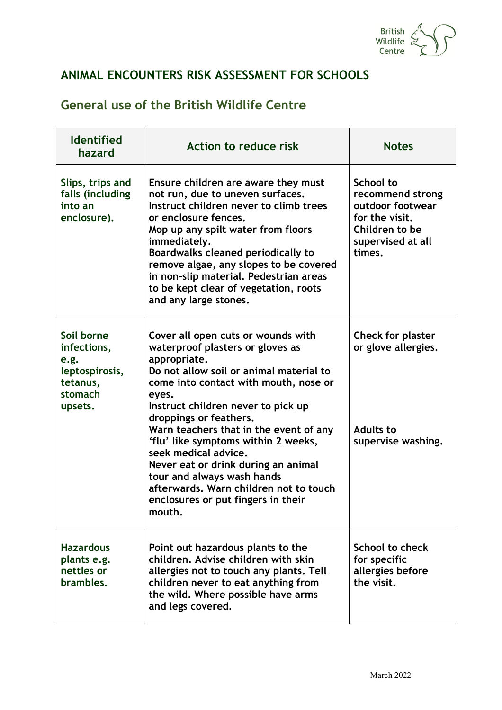

## **ANIMAL ENCOUNTERS RISK ASSESSMENT FOR SCHOOLS**

## **General use of the British Wildlife Centre**

| <b>Identified</b><br>hazard                                                           | Action to reduce risk                                                                                                                                                                                                                                                                                                                                                                                                                                                                                                       | <b>Notes</b>                                                                                                                |
|---------------------------------------------------------------------------------------|-----------------------------------------------------------------------------------------------------------------------------------------------------------------------------------------------------------------------------------------------------------------------------------------------------------------------------------------------------------------------------------------------------------------------------------------------------------------------------------------------------------------------------|-----------------------------------------------------------------------------------------------------------------------------|
| Slips, trips and<br>falls (including<br>into an<br>enclosure).                        | Ensure children are aware they must<br>not run, due to uneven surfaces.<br>Instruct children never to climb trees<br>or enclosure fences.<br>Mop up any spilt water from floors<br>immediately.<br>Boardwalks cleaned periodically to<br>remove algae, any slopes to be covered<br>in non-slip material. Pedestrian areas<br>to be kept clear of vegetation, roots<br>and any large stones.                                                                                                                                 | <b>School to</b><br>recommend strong<br>outdoor footwear<br>for the visit.<br>Children to be<br>supervised at all<br>times. |
| Soil borne<br>infections,<br>e.g.<br>leptospirosis,<br>tetanus,<br>stomach<br>upsets. | Cover all open cuts or wounds with<br>waterproof plasters or gloves as<br>appropriate.<br>Do not allow soil or animal material to<br>come into contact with mouth, nose or<br>eyes.<br>Instruct children never to pick up<br>droppings or feathers.<br>Warn teachers that in the event of any<br>'flu' like symptoms within 2 weeks,<br>seek medical advice.<br>Never eat or drink during an animal<br>tour and always wash hands<br>afterwards. Warn children not to touch<br>enclosures or put fingers in their<br>mouth. | Check for plaster<br>or glove allergies.<br><b>Adults to</b><br>supervise washing.                                          |
| <b>Hazardous</b><br>plants e.g.<br>nettles or<br>brambles.                            | Point out hazardous plants to the<br>children, Advise children with skin<br>allergies not to touch any plants. Tell<br>children never to eat anything from<br>the wild. Where possible have arms<br>and legs covered.                                                                                                                                                                                                                                                                                                       | School to check<br>for specific<br>allergies before<br>the visit.                                                           |